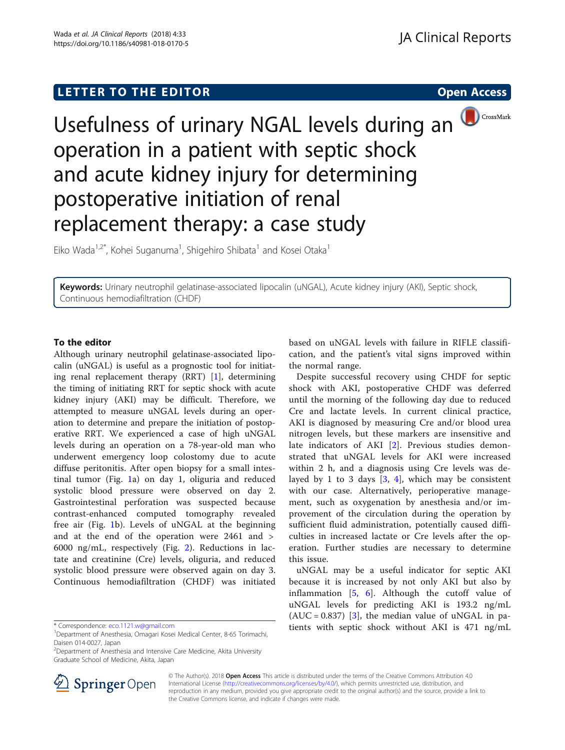# LETTER TO THE EDITOR **CONSIDERING THE EDITOR** CONSIDERING THE STATE AND THE STATE ASSAULT THE STATE AND THE STATE ASSAULT THE STATE AND THE STATE AND THE STATE AND THE STATE ASSAULT THE STATE AND THE STATE ASSAULT THE STAT



Usefulness of urinary NGAL levels during an operation in a patient with septic shock and acute kidney injury for determining postoperative initiation of renal replacement therapy: a case study

Eiko Wada<sup>1,2\*</sup>, Kohei Suganuma<sup>1</sup>, Shigehiro Shibata<sup>1</sup> and Kosei Otaka<sup>1</sup>

Keywords: Urinary neutrophil gelatinase-associated lipocalin (uNGAL), Acute kidney injury (AKI), Septic shock, Continuous hemodiafiltration (CHDF)

## To the editor

Although urinary neutrophil gelatinase-associated lipocalin (uNGAL) is useful as a prognostic tool for initiating renal replacement therapy (RRT) [\[1](#page-1-0)], determining the timing of initiating RRT for septic shock with acute kidney injury (AKI) may be difficult. Therefore, we attempted to measure uNGAL levels during an operation to determine and prepare the initiation of postoperative RRT. We experienced a case of high uNGAL levels during an operation on a 78-year-old man who underwent emergency loop colostomy due to acute diffuse peritonitis. After open biopsy for a small intestinal tumor (Fig. [1a](#page-1-0)) on day 1, oliguria and reduced systolic blood pressure were observed on day 2. Gastrointestinal perforation was suspected because contrast-enhanced computed tomography revealed free air (Fig. [1](#page-1-0)b). Levels of uNGAL at the beginning and at the end of the operation were 2461 and > 6000 ng/mL, respectively (Fig. [2\)](#page-1-0). Reductions in lactate and creatinine (Cre) levels, oliguria, and reduced systolic blood pressure were observed again on day 3. Continuous hemodiafiltration (CHDF) was initiated

<sup>2</sup>Department of Anesthesia and Intensive Care Medicine, Akita University Graduate School of Medicine, Akita, Japan



based on uNGAL levels with failure in RIFLE classification, and the patient's vital signs improved within the normal range.

Despite successful recovery using CHDF for septic shock with AKI, postoperative CHDF was deferred until the morning of the following day due to reduced Cre and lactate levels. In current clinical practice, AKI is diagnosed by measuring Cre and/or blood urea nitrogen levels, but these markers are insensitive and late indicators of AKI [\[2](#page-1-0)]. Previous studies demonstrated that uNGAL levels for AKI were increased within 2 h, and a diagnosis using Cre levels was delayed by 1 to 3 days  $[3, 4]$  $[3, 4]$  $[3, 4]$  $[3, 4]$  $[3, 4]$ , which may be consistent with our case. Alternatively, perioperative management, such as oxygenation by anesthesia and/or improvement of the circulation during the operation by sufficient fluid administration, potentially caused difficulties in increased lactate or Cre levels after the operation. Further studies are necessary to determine this issue.

uNGAL may be a useful indicator for septic AKI because it is increased by not only AKI but also by inflammation [[5](#page-1-0), [6\]](#page-2-0). Although the cutoff value of uNGAL levels for predicting AKI is 193.2 ng/mL  $(AUC = 0.837)$  [\[3](#page-1-0)], the median value of uNGAL in pa-\* Correspondence: [eco.1121.w@gmail.com](mailto:eco.1121.w@gmail.com) tients with septic shock without AKI is 471 ng/mL <sup>1</sup>

> © The Author(s). 2018 Open Access This article is distributed under the terms of the Creative Commons Attribution 4.0 International License ([http://creativecommons.org/licenses/by/4.0/\)](http://creativecommons.org/licenses/by/4.0/), which permits unrestricted use, distribution, and reproduction in any medium, provided you give appropriate credit to the original author(s) and the source, provide a link to the Creative Commons license, and indicate if changes were made.

<sup>&</sup>lt;sup>1</sup>Department of Anesthesia, Omagari Kosei Medical Center, 8-65 Torimachi, Daisen 014-0027, Japan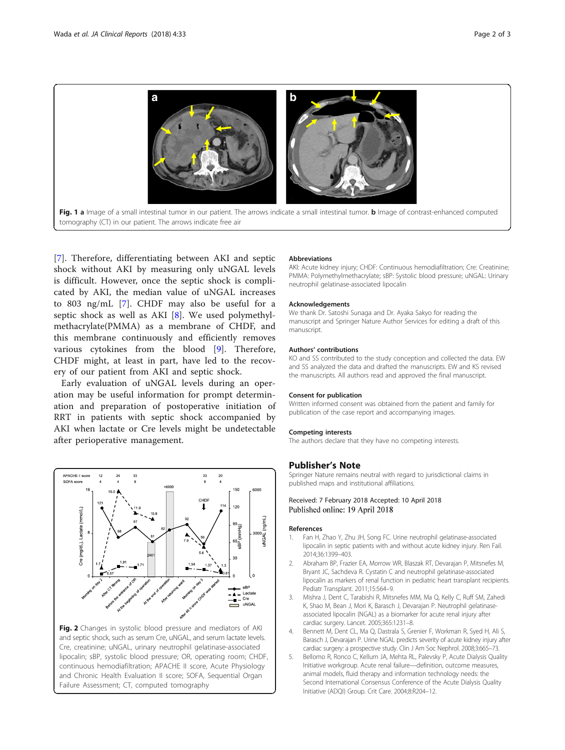<span id="page-1-0"></span>

[[7\]](#page-2-0). Therefore, differentiating between AKI and septic shock without AKI by measuring only uNGAL levels is difficult. However, once the septic shock is complicated by AKI, the median value of uNGAL increases to 803 ng/mL [[7\]](#page-2-0). CHDF may also be useful for a septic shock as well as AKI [[8](#page-2-0)]. We used polymethylmethacrylate(PMMA) as a membrane of CHDF, and this membrane continuously and efficiently removes various cytokines from the blood [\[9](#page-2-0)]. Therefore, CHDF might, at least in part, have led to the recovery of our patient from AKI and septic shock.

Early evaluation of uNGAL levels during an operation may be useful information for prompt determination and preparation of postoperative initiation of RRT in patients with septic shock accompanied by AKI when lactate or Cre levels might be undetectable after perioperative management.



Fig. 2 Changes in systolic blood pressure and mediators of AKI and septic shock, such as serum Cre, uNGAL, and serum lactate levels. Cre, creatinine; uNGAL, urinary neutrophil gelatinase-associated lipocalin; sBP, systolic blood pressure; OR, operating room; CHDF, continuous hemodiafiltration; APACHE II score, Acute Physiology and Chronic Health Evaluation II score; SOFA, Sequential Organ Failure Assessment; CT, computed tomography

#### Abbreviations

AKI: Acute kidney injury; CHDF: Continuous hemodiafiltration; Cre: Creatinine; PMMA: Polymethylmethacrylate; sBP: Systolic blood pressure; uNGAL: Urinary neutrophil gelatinase-associated lipocalin

#### Acknowledgements

We thank Dr. Satoshi Sunaga and Dr. Ayaka Sakyo for reading the manuscript and Springer Nature Author Services for editing a draft of this manuscript.

#### Authors' contributions

KO and SS contributed to the study conception and collected the data. EW and SS analyzed the data and drafted the manuscripts. EW and KS revised the manuscripts. All authors read and approved the final manuscript.

#### Consent for publication

Written informed consent was obtained from the patient and family for publication of the case report and accompanying images.

#### Competing interests

The authors declare that they have no competing interests.

### Publisher's Note

Springer Nature remains neutral with regard to jurisdictional claims in published maps and institutional affiliations.

### Received: 7 February 2018 Accepted: 10 April 2018 Published online: 19 April 2018

#### References

- 1. Fan H, Zhao Y, Zhu JH, Song FC. Urine neutrophil gelatinase-associated lipocalin in septic patients with and without acute kidney injury. Ren Fail. 2014;36:1399–403.
- 2. Abraham BP, Frazier EA, Morrow WR, Blaszak RT, Devarajan P, Mitsnefes M, Bryant JC, Sachdeva R. Cystatin C and neutrophil gelatinase-associated lipocalin as markers of renal function in pediatric heart transplant recipients. Pediatr Transplant. 2011;15:564–9.
- 3. Mishra J, Dent C, Tarabishi R, Mitsnefes MM, Ma Q, Kelly C, Ruff SM, Zahedi K, Shao M, Bean J, Mori K, Barasch J, Devarajan P. Neutrophil gelatinaseassociated lipocalin (NGAL) as a biomarker for acute renal injury after cardiac surgery. Lancet. 2005;365:1231–8.
- 4. Bennett M, Dent CL, Ma Q, Dastrala S, Grenier F, Workman R, Syed H, Ali S, Barasch J, Devarajan P. Urine NGAL predicts severity of acute kidney injury after cardiac surgery: a prospective study. Clin J Am Soc Nephrol. 2008;3:665–73.
- 5. Bellomo R, Ronco C, Kellum JA, Mehta RL, Palevsky P, Acute Dialysis Quality Initiative workgroup. Acute renal failure—definition, outcome measures, animal models, fluid therapy and information technology needs: the Second International Consensus Conference of the Acute Dialysis Quality Initiative (ADQI) Group. Crit Care. 2004;8:R204–12.